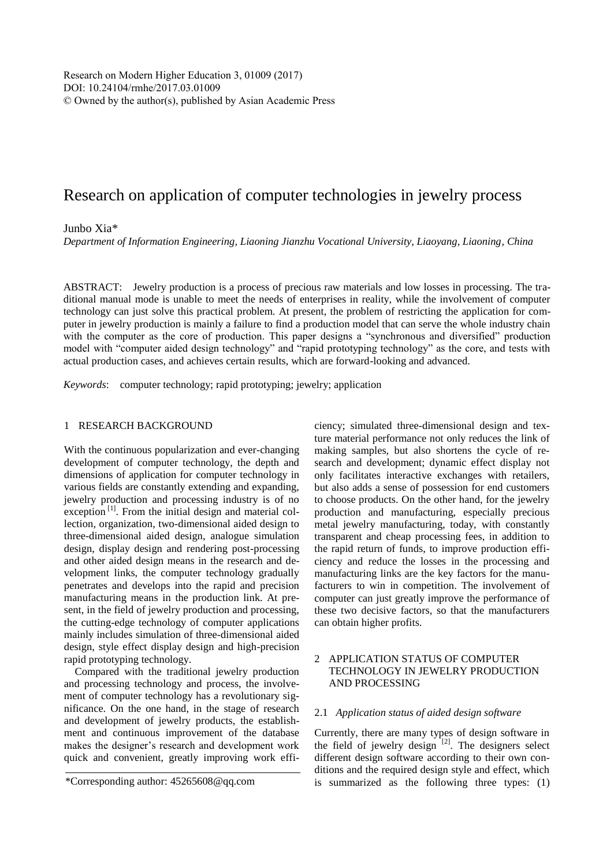# Research on application of computer technologies in jewelry process

## Junbo Xia\*

*Department of Information Engineering, Liaoning Jianzhu Vocational University, Liaoyang, Liaoning, China*

ABSTRACT: Jewelry production is a process of precious raw materials and low losses in processing. The traditional manual mode is unable to meet the needs of enterprises in reality, while the involvement of computer technology can just solve this practical problem. At present, the problem of restricting the application for computer in jewelry production is mainly a failure to find a production model that can serve the whole industry chain with the computer as the core of production. This paper designs a "synchronous and diversified" production model with "computer aided design technology" and "rapid prototyping technology" as the core, and tests with actual production cases, and achieves certain results, which are forward-looking and advanced.

*Keywords*: computer technology; rapid prototyping; jewelry; application

#### 1 RESEARCH BACKGROUND

With the continuous popularization and ever-changing development of computer technology, the depth and dimensions of application for computer technology in various fields are constantly extending and expanding, jewelry production and processing industry is of no exception  $\left[1\right]$ . From the initial design and material collection, organization, two-dimensional aided design to three-dimensional aided design, analogue simulation design, display design and rendering post-processing and other aided design means in the research and development links, the computer technology gradually penetrates and develops into the rapid and precision manufacturing means in the production link. At present, in the field of jewelry production and processing, the cutting-edge technology of computer applications mainly includes simulation of three-dimensional aided design, style effect display design and high-precision rapid prototyping technology.

Compared with the traditional jewelry production and processing technology and process, the involvement of computer technology has a revolutionary significance. On the one hand, in the stage of research and development of jewelry products, the establishment and continuous improvement of the database makes the designer's research and development work quick and convenient, greatly improving work effi-

ciency; simulated three-dimensional design and texture material performance not only reduces the link of making samples, but also shortens the cycle of research and development; dynamic effect display not only facilitates interactive exchanges with retailers, but also adds a sense of possession for end customers to choose products. On the other hand, for the jewelry production and manufacturing, especially precious metal jewelry manufacturing, today, with constantly transparent and cheap processing fees, in addition to the rapid return of funds, to improve production efficiency and reduce the losses in the processing and manufacturing links are the key factors for the manufacturers to win in competition. The involvement of computer can just greatly improve the performance of these two decisive factors, so that the manufacturers can obtain higher profits.

# 2 APPLICATION STATUS OF COMPUTER TECHNOLOGY IN JEWELRY PRODUCTION AND PROCESSING

#### 2.1 *Application status of aided design software*

Currently, there are many types of design software in the field of jewelry design  $^{[2]}$ . The designers select different design software according to their own conditions and the required design style and effect, which is summarized as the following three types: (1)

<sup>\*</sup>Corresponding author: 45265608@qq.com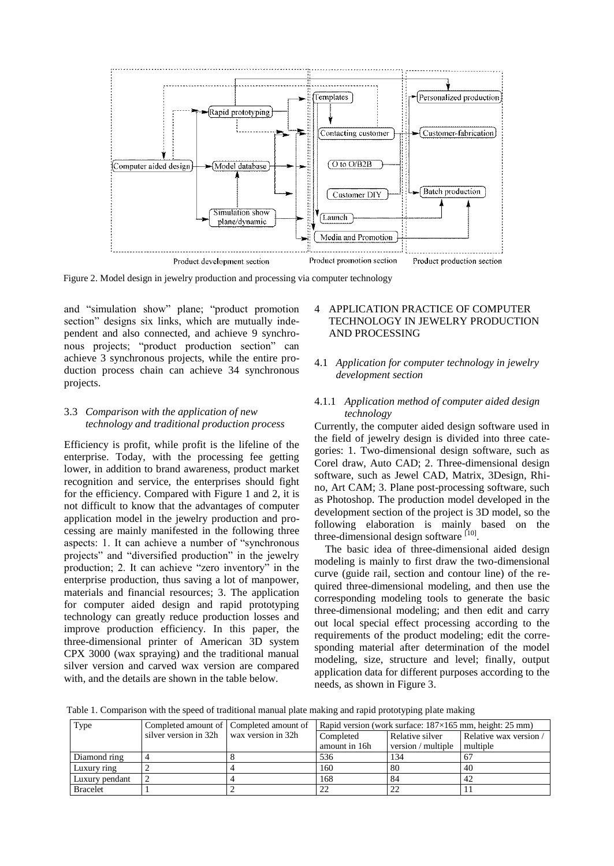

Figure 2. Model design in jewelry production and processing via computer technology

and "simulation show" plane; "product promotion section" designs six links, which are mutually independent and also connected, and achieve 9 synchronous projects; "product production section" can achieve 3 synchronous projects, while the entire production process chain can achieve 34 synchronous projects.

## 3.3 *Comparison with the application of new technology and traditional production process*

Efficiency is profit, while profit is the lifeline of the enterprise. Today, with the processing fee getting lower, in addition to brand awareness, product market recognition and service, the enterprises should fight for the efficiency. Compared with Figure 1 and 2, it is not difficult to know that the advantages of computer application model in the jewelry production and processing are mainly manifested in the following three aspects: 1. It can achieve a number of "synchronous projects" and "diversified production" in the jewelry production; 2. It can achieve "zero inventory" in the enterprise production, thus saving a lot of manpower, materials and financial resources; 3. The application for computer aided design and rapid prototyping technology can greatly reduce production losses and improve production efficiency. In this paper, the three-dimensional printer of American 3D system CPX 3000 (wax spraying) and the traditional manual silver version and carved wax version are compared with, and the details are shown in the table below.

# 4 APPLICATION PRACTICE OF COMPUTER TECHNOLOGY IN JEWELRY PRODUCTION AND PROCESSING

# 4.1 *Application for computer technology in jewelry development section*

# 4.1.1 *Application method of computer aided design technology*

Currently, the computer aided design software used in the field of jewelry design is divided into three categories: 1. Two-dimensional design software, such as Corel draw, Auto CAD; 2. Three-dimensional design software, such as Jewel CAD, Matrix, 3Design, Rhino, Art CAM; 3. Plane post-processing software, such as Photoshop. The production model developed in the development section of the project is 3D model, so the following elaboration is mainly based on the three-dimensional design software <sup>[10]</sup>.

The basic idea of three-dimensional aided design modeling is mainly to first draw the two-dimensional curve (guide rail, section and contour line) of the required three-dimensional modeling, and then use the corresponding modeling tools to generate the basic three-dimensional modeling; and then edit and carry out local special effect processing according to the requirements of the product modeling; edit the corresponding material after determination of the model modeling, size, structure and level; finally, output application data for different purposes according to the needs, as shown in Figure 3.

Table 1. Comparison with the speed of traditional manual plate making and rapid prototyping plate making

| Type            |                                              | Completed amount of Completed amount of | Rapid version (work surface: $187\times165$ mm, height: 25 mm) |                    |                      |
|-----------------|----------------------------------------------|-----------------------------------------|----------------------------------------------------------------|--------------------|----------------------|
|                 | silver version in $32h$ wax version in $32h$ |                                         | Completed                                                      | Relative silver    | Relative wax version |
|                 |                                              |                                         | amount in 16h                                                  | version / multiple | multiple             |
| Diamond ring    |                                              |                                         | 536                                                            | 134                | -67                  |
| Luxury ring     |                                              |                                         | 160                                                            | 80                 | 40                   |
| Luxury pendant  |                                              |                                         | 168                                                            | 84                 | 42                   |
| <b>Bracelet</b> |                                              |                                         |                                                                |                    |                      |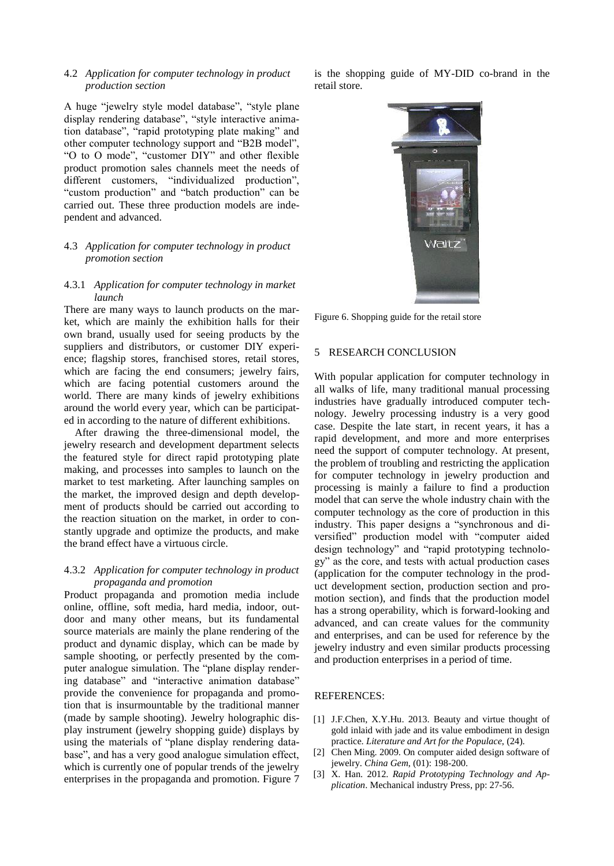## 4.2 *Application for computer technology in product production section*

A huge "jewelry style model database", "style plane display rendering database", "style interactive animation database", "rapid prototyping plate making" and other computer technology support and "B2B model", "O to O mode", "customer DIY" and other flexible product promotion sales channels meet the needs of different customers, "individualized production", "custom production" and "batch production" can be carried out. These three production models are independent and advanced.

## 4.3 *Application for computer technology in product promotion section*

#### 4.3.1 *Application for computer technology in market launch*

There are many ways to launch products on the market, which are mainly the exhibition halls for their own brand, usually used for seeing products by the suppliers and distributors, or customer DIY experience; flagship stores, franchised stores, retail stores, which are facing the end consumers; jewelry fairs, which are facing potential customers around the world. There are many kinds of jewelry exhibitions around the world every year, which can be participated in according to the nature of different exhibitions.

After drawing the three-dimensional model, the jewelry research and development department selects the featured style for direct rapid prototyping plate making, and processes into samples to launch on the market to test marketing. After launching samples on the market, the improved design and depth development of products should be carried out according to the reaction situation on the market, in order to constantly upgrade and optimize the products, and make the brand effect have a virtuous circle.

### 4.3.2 *Application for computer technology in product propaganda and promotion*

Product propaganda and promotion media include online, offline, soft media, hard media, indoor, outdoor and many other means, but its fundamental source materials are mainly the plane rendering of the product and dynamic display, which can be made by sample shooting, or perfectly presented by the computer analogue simulation. The "plane display rendering database" and "interactive animation database" provide the convenience for propaganda and promotion that is insurmountable by the traditional manner (made by sample shooting). Jewelry holographic display instrument (jewelry shopping guide) displays by using the materials of "plane display rendering database", and has a very good analogue simulation effect, which is currently one of popular trends of the jewelry enterprises in the propaganda and promotion. Figure 7 is the shopping guide of MY-DID co-brand in the retail store.



Figure 6. Shopping guide for the retail store

### 5 RESEARCH CONCLUSION

With popular application for computer technology in all walks of life, many traditional manual processing industries have gradually introduced computer technology. Jewelry processing industry is a very good case. Despite the late start, in recent years, it has a rapid development, and more and more enterprises need the support of computer technology. At present, the problem of troubling and restricting the application for computer technology in jewelry production and processing is mainly a failure to find a production model that can serve the whole industry chain with the computer technology as the core of production in this industry. This paper designs a "synchronous and diversified" production model with "computer aided design technology" and "rapid prototyping technology" as the core, and tests with actual production cases (application for the computer technology in the product development section, production section and promotion section), and finds that the production model has a strong operability, which is forward-looking and advanced, and can create values for the community and enterprises, and can be used for reference by the jewelry industry and even similar products processing and production enterprises in a period of time.

## REFERENCES:

- [1] J.F.Chen, X.Y.Hu. 2013. Beauty and virtue thought of gold inlaid with jade and its value embodiment in design practice. *Literature and Art for the Populace*, (24).
- [2] Chen Ming. 2009. On computer aided design software of jewelry. *China Gem*, (01): 198-200.
- [3] X. Han. 2012. *Rapid Prototyping Technology and Application*. Mechanical industry Press, pp: 27-56.